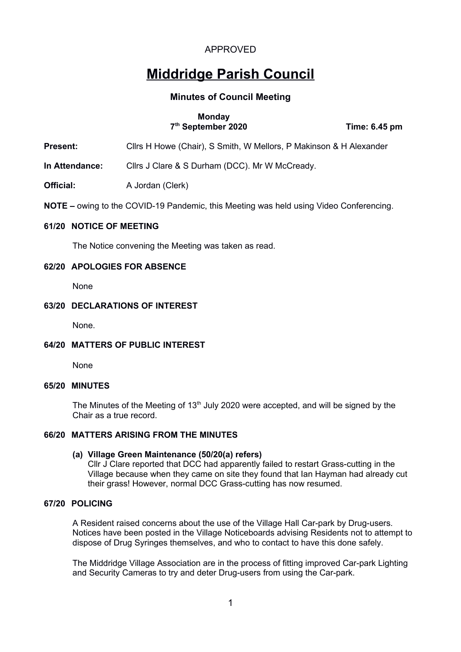# **Middridge Parish Council**

# **Minutes of Council Meeting**

## **Monday 7th September 2020 Time: 6.45 pm**

**Present:** Cllrs H Howe (Chair), S Smith, W Mellors, P Makinson & H Alexander

**In Attendance:** Cllrs J Clare & S Durham (DCC). Mr W McCready.

**Official:** A Jordan (Clerk)

**NOTE –** owing to the COVID-19 Pandemic, this Meeting was held using Video Conferencing.

#### **61/20 NOTICE OF MEETING**

The Notice convening the Meeting was taken as read.

## **62/20 APOLOGIES FOR ABSENCE**

None

## **63/20 DECLARATIONS OF INTEREST**

None.

# **64/20 MATTERS OF PUBLIC INTEREST**

None

#### **65/20 MINUTES**

The Minutes of the Meeting of  $13<sup>th</sup>$  July 2020 were accepted, and will be signed by the Chair as a true record.

#### **66/20 MATTERS ARISING FROM THE MINUTES**

#### **(a) Village Green Maintenance (50/20(a) refers)**

Cllr J Clare reported that DCC had apparently failed to restart Grass-cutting in the Village because when they came on site they found that Ian Hayman had already cut their grass! However, normal DCC Grass-cutting has now resumed.

#### **67/20 POLICING**

A Resident raised concerns about the use of the Village Hall Car-park by Drug-users. Notices have been posted in the Village Noticeboards advising Residents not to attempt to dispose of Drug Syringes themselves, and who to contact to have this done safely.

The Middridge Village Association are in the process of fitting improved Car-park Lighting and Security Cameras to try and deter Drug-users from using the Car-park.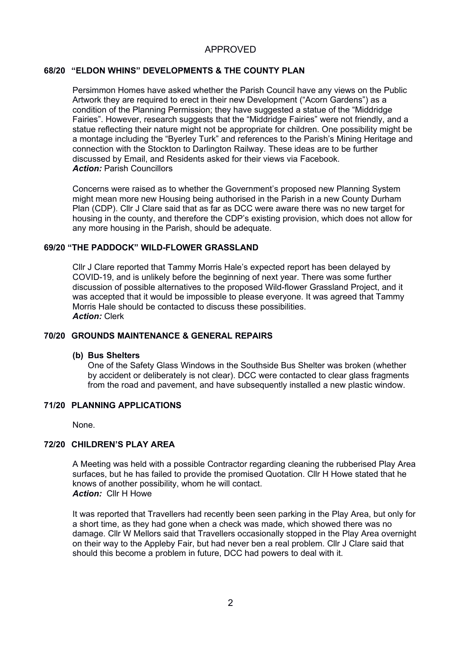# **68/20 "ELDON WHINS" DEVELOPMENTS & THE COUNTY PLAN**

Persimmon Homes have asked whether the Parish Council have any views on the Public Artwork they are required to erect in their new Development ("Acorn Gardens") as a condition of the Planning Permission; they have suggested a statue of the "Middridge Fairies". However, research suggests that the "Middridge Fairies" were not friendly, and a statue reflecting their nature might not be appropriate for children. One possibility might be a montage including the "Byerley Turk" and references to the Parish's Mining Heritage and connection with the Stockton to Darlington Railway. These ideas are to be further discussed by Email, and Residents asked for their views via Facebook. *Action:* Parish Councillors

Concerns were raised as to whether the Government's proposed new Planning System might mean more new Housing being authorised in the Parish in a new County Durham Plan (CDP). Cllr J Clare said that as far as DCC were aware there was no new target for housing in the county, and therefore the CDP's existing provision, which does not allow for any more housing in the Parish, should be adequate.

## **69/20 "THE PADDOCK" WILD-FLOWER GRASSLAND**

Cllr J Clare reported that Tammy Morris Hale's expected report has been delayed by COVID-19, and is unlikely before the beginning of next year. There was some further discussion of possible alternatives to the proposed Wild-flower Grassland Project, and it was accepted that it would be impossible to please everyone. It was agreed that Tammy Morris Hale should be contacted to discuss these possibilities. *Action:* Clerk

# **70/20 GROUNDS MAINTENANCE & GENERAL REPAIRS**

#### **(b) Bus Shelters**

One of the Safety Glass Windows in the Southside Bus Shelter was broken (whether by accident or deliberately is not clear). DCC were contacted to clear glass fragments from the road and pavement, and have subsequently installed a new plastic window.

# **71/20 PLANNING APPLICATIONS**

None.

# **72/20 CHILDREN'S PLAY AREA**

A Meeting was held with a possible Contractor regarding cleaning the rubberised Play Area surfaces, but he has failed to provide the promised Quotation. Cllr H Howe stated that he knows of another possibility, whom he will contact. *Action:* Cllr H Howe

It was reported that Travellers had recently been seen parking in the Play Area, but only for a short time, as they had gone when a check was made, which showed there was no damage. Cllr W Mellors said that Travellers occasionally stopped in the Play Area overnight on their way to the Appleby Fair, but had never ben a real problem. Cllr J Clare said that should this become a problem in future, DCC had powers to deal with it.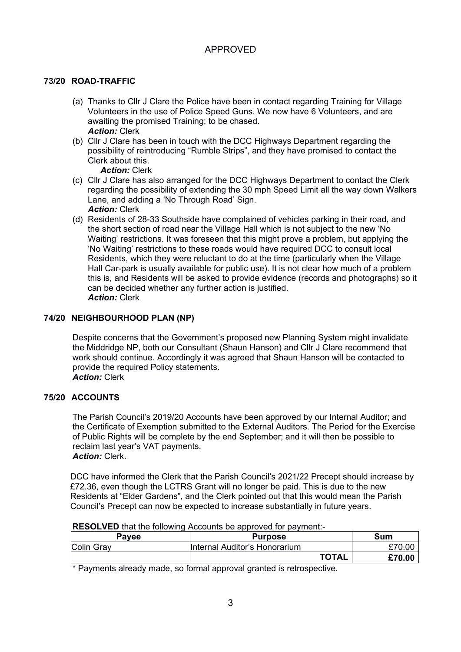# **73/20 ROAD-TRAFFIC**

- (a) Thanks to Cllr J Clare the Police have been in contact regarding Training for Village Volunteers in the use of Police Speed Guns. We now have 6 Volunteers, and are awaiting the promised Training; to be chased. *Action:* Clerk
- (b) Cllr J Clare has been in touch with the DCC Highways Department regarding the possibility of reintroducing "Rumble Strips", and they have promised to contact the Clerk about this.

*Action:* Clerk

- (c) Cllr J Clare has also arranged for the DCC Highways Department to contact the Clerk regarding the possibility of extending the 30 mph Speed Limit all the way down Walkers Lane, and adding a 'No Through Road' Sign. *Action:* Clerk
- (d) Residents of 28-33 Southside have complained of vehicles parking in their road, and the short section of road near the Village Hall which is not subject to the new 'No Waiting' restrictions. It was foreseen that this might prove a problem, but applying the 'No Waiting' restrictions to these roads would have required DCC to consult local Residents, which they were reluctant to do at the time (particularly when the Village Hall Car-park is usually available for public use). It is not clear how much of a problem this is, and Residents will be asked to provide evidence (records and photographs) so it can be decided whether any further action is justified. *Action:* Clerk

# **74/20 NEIGHBOURHOOD PLAN (NP)**

Despite concerns that the Government's proposed new Planning System might invalidate the Middridge NP, both our Consultant (Shaun Hanson) and Cllr J Clare recommend that work should continue. Accordingly it was agreed that Shaun Hanson will be contacted to provide the required Policy statements. *Action:* Clerk

# **75/20 ACCOUNTS**

The Parish Council's 2019/20 Accounts have been approved by our Internal Auditor; and the Certificate of Exemption submitted to the External Auditors. The Period for the Exercise of Public Rights will be complete by the end September; and it will then be possible to reclaim last year's VAT payments. *Action:* Clerk.

DCC have informed the Clerk that the Parish Council's 2021/22 Precept should increase by £72.36, even though the LCTRS Grant will no longer be paid. This is due to the new Residents at "Elder Gardens", and the Clerk pointed out that this would mean the Parish Council's Precept can now be expected to increase substantially in future years.

| <b>RESOLVED</b> that the following Accounts be approved for payment:- |
|-----------------------------------------------------------------------|
|                                                                       |

| <b>Pavee</b> | <b>Purpose</b>                | Sum    |
|--------------|-------------------------------|--------|
| Colin Gray   | Internal Auditor's Honorarium | £70.00 |
|              | <b>TOTAL</b>                  | £70.00 |
|              |                               |        |

\* Payments already made, so formal approval granted is retrospective.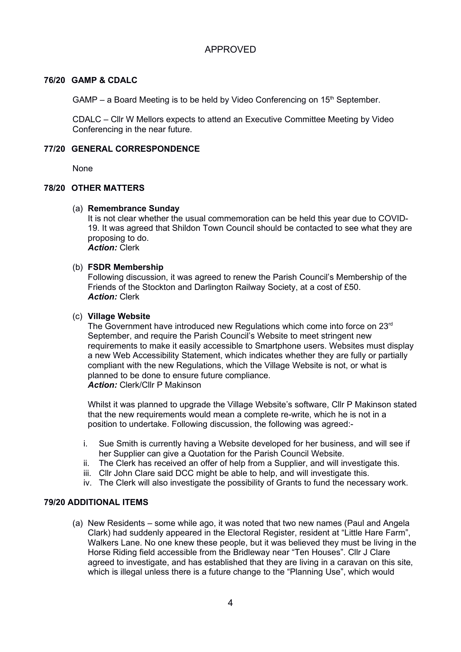## **76/20 GAMP & CDALC**

GAMP – a Board Meeting is to be held by Video Conferencing on  $15<sup>th</sup>$  September.

CDALC – Cllr W Mellors expects to attend an Executive Committee Meeting by Video Conferencing in the near future.

## **77/20 GENERAL CORRESPONDENCE**

None

## **78/20 OTHER MATTERS**

## (a) **Remembrance Sunday**

It is not clear whether the usual commemoration can be held this year due to COVID-19. It was agreed that Shildon Town Council should be contacted to see what they are proposing to do. *Action:* Clerk

# (b) **FSDR Membership**

Following discussion, it was agreed to renew the Parish Council's Membership of the Friends of the Stockton and Darlington Railway Society, at a cost of £50. *Action:* Clerk

## (c) **Village Website**

The Government have introduced new Regulations which come into force on 23<sup>rd</sup> September, and require the Parish Council's Website to meet stringent new requirements to make it easily accessible to Smartphone users. Websites must display a new Web Accessibility Statement, which indicates whether they are fully or partially compliant with the new Regulations, which the Village Website is not, or what is planned to be done to ensure future compliance. *Action:* Clerk/Cllr P Makinson

Whilst it was planned to upgrade the Village Website's software, Cllr P Makinson stated that the new requirements would mean a complete re-write, which he is not in a position to undertake. Following discussion, the following was agreed:-

- i. Sue Smith is currently having a Website developed for her business, and will see if her Supplier can give a Quotation for the Parish Council Website.
- ii. The Clerk has received an offer of help from a Supplier, and will investigate this.
- iii. Cllr John Clare said DCC might be able to help, and will investigate this.
- iv. The Clerk will also investigate the possibility of Grants to fund the necessary work.

#### **79/20 ADDITIONAL ITEMS**

(a) New Residents – some while ago, it was noted that two new names (Paul and Angela Clark) had suddenly appeared in the Electoral Register, resident at "Little Hare Farm", Walkers Lane. No one knew these people, but it was believed they must be living in the Horse Riding field accessible from the Bridleway near "Ten Houses". Cllr J Clare agreed to investigate, and has established that they are living in a caravan on this site, which is illegal unless there is a future change to the "Planning Use", which would